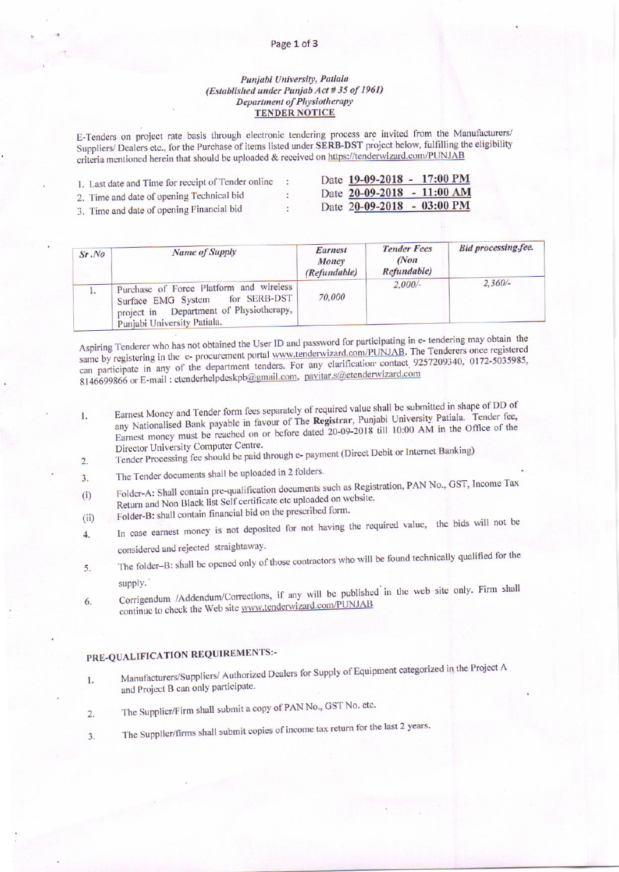#### Page 1 of 3

### Punjabi University, Patiala (Established under Punjab Act #35 of 1961) **Department of Physiotherapy TENDER NOTICE**

E-Tenders on project rate basis through electronic tendering process are invited from the Manufacturers/ Suppliers/ Dealers etc., for the Purchase of items listed under SERB-DST project below, fulfilling the eligibility criteria mentioned herein that should be uploaded & received on https://tenderwizard.com/PUNJAB

| 1. Last date and Time for receipt of Tender online |  | Date 19-09-2018 - 17:00 PM           |  |
|----------------------------------------------------|--|--------------------------------------|--|
| 2. Time and date of opening Technical bid          |  | Date 20-09-2018 - 11:00 AM           |  |
| 3. Time and date of opening Financial bid          |  | Date $20-09-2018 - 03:00 \text{ PM}$ |  |

| Sr, No | Name of Supply                                                                                                                                             | Earnest<br>Money<br>(Refundable) | <b>Tender Fees</b><br>(Non<br>Refundable) | <b>Bid processing fee.</b> |
|--------|------------------------------------------------------------------------------------------------------------------------------------------------------------|----------------------------------|-------------------------------------------|----------------------------|
|        | Purchase of Force Platform and wireless<br>for SERB-DST<br>Surface EMG System<br>Department of Physiotherapy,<br>project in<br>Punjabi University Patiala. | 70.000                           | $2,000/-$                                 | $2.360/-$                  |

Aspiring Tenderer who has not obtained the User ID and password for participating in e- tendering may obtain the same by registering in the e- procurement portal www.tenderwizard.com/PUNJAB. The Tenderers once registered can participate in any of the department tenders. For any clarification contact 9257209340, 0172-5035985, 8146699866 or E-mail : etenderhelpdeskpb@gmail.com, pavitar.s@etenderwizard.com

- Earnest Money and Tender form fees separately of required value shall be submitted in shape of DD of any Nationalised Bank payable in favour of The Registrar, Punjabi University Patiala. Tender fee, 1. Earnest money must be reached on or before dated 20-09-2018 till 10:00 AM in the Office of the Director University Computer Centre.
- Tender Processing fee should be paid through e-payment (Direct Debit or Internet Banking)  $\mathfrak{D}$
- The Tender documents shall be uploaded in 2 folders.  $\overline{3}$ .
- Folder-A: Shall contain pre-qualification documents such as Registration, PAN No., GST, Income Tax  $(i)$ Return and Non Black list Self certificate etc uploaded on website.
- Folder-B: shall contain financial bid on the prescribed form.  $(iii)$
- In case earnest money is not deposited for not having the required value, the bids will not be 4. considered and rejected straightaway.
- The folder-B: shall be opened only of those contractors who will be found technically qualified for the 5. supply.
- Corrigendum /Addendum/Corrections, if any will be published in the web site only. Firm shall 6. continue to check the Web site www.tenderwizard.com/PUNJAB

## PRE-QUALIFICATION REQUIREMENTS:-

- Manufacturers/Suppliers/ Authorized Dealers for Supply of Equipment categorized in the Project A 1. and Project B can only participate.
- The Supplier/Firm shall submit a copy of PAN No., GST No. etc.  $\overline{2}$ .
- The Supplier/firms shall submit copies of income tax return for the last 2 years.  $3.$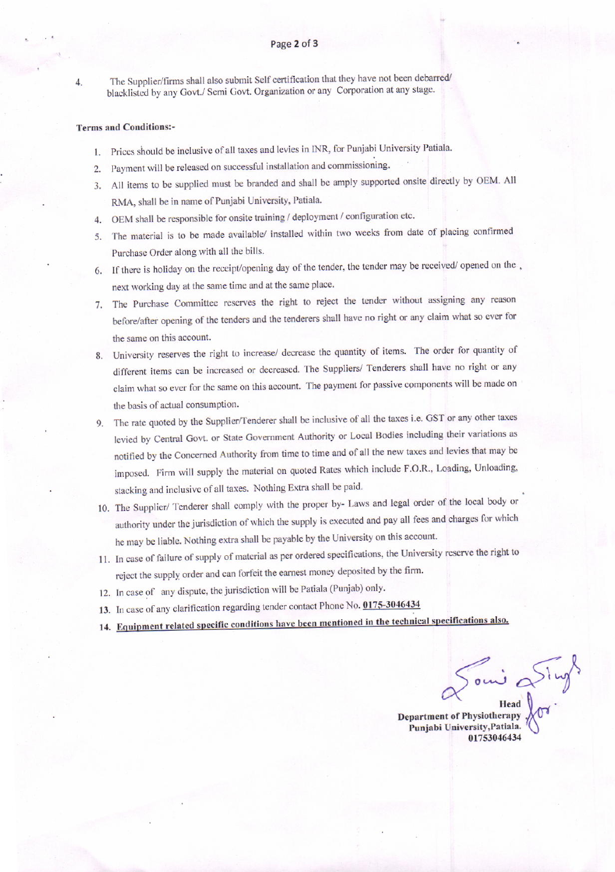$4.$ 

The Supplier/firms shall also submit Self certification that they have not been debarred/ blacklisted by any Govt./ Semi Govt. Organization or any Corporation at any stage.

### **Terms and Conditions:-**

- 1. Prices should be inclusive of all taxes and levies in INR, for Punjabi University Patiala.
- 2. Payment will be released on successful installation and commissioning.
- 3. All items to be supplied must be branded and shall be amply supported onsite directly by OEM. All RMA, shall be in name of Punjabi University, Patiala.
- 4. OEM shall be responsible for onsite training / deployment / configuration etc.
- 5. The material is to be made available/ installed within two weeks from date of placing confirmed Purchase Order along with all the bills.
- 6. If there is holiday on the receipt/opening day of the tender, the tender may be received/ opened on the next working day at the same time and at the same place.
- 7. The Purchase Committee reserves the right to reject the tender without assigning any reason before/after opening of the tenders and the tenderers shall have no right or any claim what so ever for the same on this account.
- 8. University reserves the right to increase/ decrease the quantity of items. The order for quantity of different items can be increased or decreased. The Suppliers/ Tenderers shall have no right or any claim what so ever for the same on this account. The payment for passive components will be made on the basis of actual consumption.
- 9. The rate quoted by the Supplier/Tenderer shall be inclusive of all the taxes i.e. GST or any other taxes levied by Central Govt. or State Government Authority or Local Bodies including their variations as notified by the Concerned Authority from time to time and of all the new taxes and levies that may be imposed. Firm will supply the material on quoted Rates which include F.O.R., Loading, Unloading, stacking and inclusive of all taxes. Nothing Extra shall be paid.
- 10. The Supplier/ Tenderer shall comply with the proper by- Laws and legal order of the local body or authority under the jurisdiction of which the supply is executed and pay all fees and charges for which he may be liable. Nothing extra shall be payable by the University on this account.
- 11. In case of failure of supply of material as per ordered specifications, the University reserve the right to reject the supply order and can forfeit the earnest money deposited by the firm.
- 12. In case of any dispute, the jurisdiction will be Patiala (Punjab) only.
- 13. In case of any clarification regarding tender contact Phone No. 0175-3046434
- 14. Equipment related specific conditions have been mentioned in the technical specifications also.

Department of Physiotherapy XOV.

Punjabi University, Patiala. 01753046434